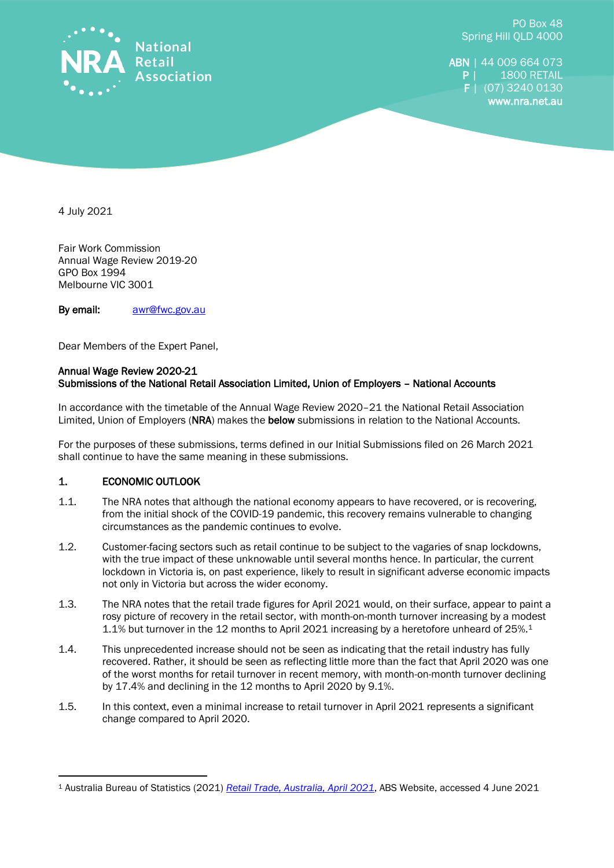

PO Box 48 Spring Hill QLD 4000

ABN | 44 009 664 073 P | 1800 RETAIL F | (07) 3240 0130 www.nra.net.au

4 July 2021

Fair Work Commission Annual Wage Review 2019-20 GPO Box 1994 Melbourne VIC 3001

By email: [awr@fwc.gov.au](mailto:awr@fwc.gov.au)

Dear Members of the Expert Panel,

## Annual Wage Review 2020-21 Submissions of the National Retail Association Limited, Union of Employers – National Accounts

In accordance with the timetable of the Annual Wage Review 2020–21 the National Retail Association Limited, Union of Employers (NRA) makes the below submissions in relation to the National Accounts.

For the purposes of these submissions, terms defined in our Initial Submissions filed on 26 March 2021 shall continue to have the same meaning in these submissions.

## 1. ECONOMIC OUTLOOK

 $\overline{a}$ 

- 1.1. The NRA notes that although the national economy appears to have recovered, or is recovering, from the initial shock of the COVID-19 pandemic, this recovery remains vulnerable to changing circumstances as the pandemic continues to evolve.
- 1.2. Customer-facing sectors such as retail continue to be subject to the vagaries of snap lockdowns, with the true impact of these unknowable until several months hence. In particular, the current lockdown in Victoria is, on past experience, likely to result in significant adverse economic impacts not only in Victoria but across the wider economy.
- 1.3. The NRA notes that the retail trade figures for April 2021 would, on their surface, appear to paint a rosy picture of recovery in the retail sector, with month-on-month turnover increasing by a modest 1.1% but turnover in the 12 months to April 2021 increasing by a heretofore unheard of 25%.<sup>1</sup>
- 1.4. This unprecedented increase should not be seen as indicating that the retail industry has fully recovered. Rather, it should be seen as reflecting little more than the fact that April 2020 was one of the worst months for retail turnover in recent memory, with month-on-month turnover declining by 17.4% and declining in the 12 months to April 2020 by 9.1%.
- 1.5. In this context, even a minimal increase to retail turnover in April 2021 represents a significant change compared to April 2020.

<sup>1</sup> Australia Bureau of Statistics (2021) *[Retail Trade, Australia, April](https://www.abs.gov.au/statistics/industry/retail-and-wholesale-trade/retail-trade-australia/apr-2021) 2021*, ABS Website, accessed 4 June 2021